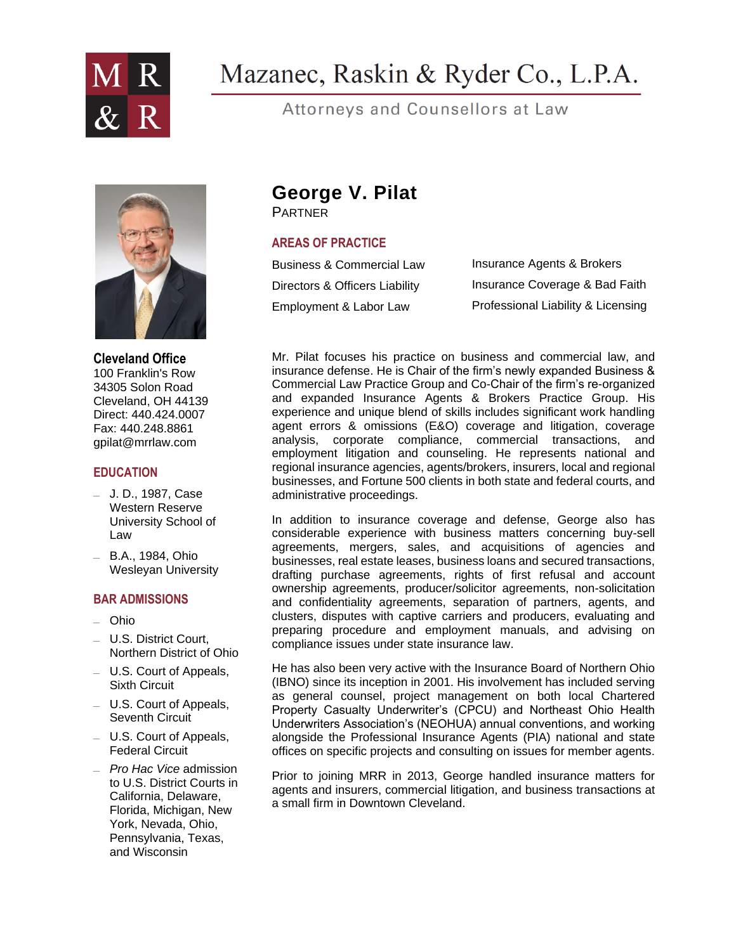

# Mazanec, Raskin & Ryder Co., L.P.A.

Attorneys and Counsellors at Law



**Cleveland Office** 100 Franklin's Row 34305 Solon Road Cleveland, OH 44139 Direct: 440.424.0007 Fax: 440.248.8861 gpilat@mrrlaw.com

# **EDUCATION**

- J. D., 1987, Case Western Reserve University School of Law
- B.A., 1984, Ohio Wesleyan University

## **BAR ADMISSIONS**

- Ohio
- U.S. District Court, Northern District of Ohio
- U.S. Court of Appeals, Sixth Circuit
- U.S. Court of Appeals, Seventh Circuit
- U.S. Court of Appeals, Federal Circuit
- *Pro Hac Vice* admission to U.S. District Courts in California, Delaware, Florida, Michigan, New York, Nevada, Ohio, Pennsylvania, Texas, and Wisconsin

# **George V. Pilat**

PARTNER

# **AREAS OF PRACTICE**

| <b>Business &amp; Commercial Law</b> | Insurance Agents & Brokers         |
|--------------------------------------|------------------------------------|
| Directors & Officers Liability       | Insurance Coverage & Bad Faith     |
| Employment & Labor Law               | Professional Liability & Licensing |

Mr. Pilat focuses his practice on business and commercial law, and insurance defense. He is Chair of the firm's newly expanded Business & Commercial Law Practice Group and Co-Chair of the firm's re-organized and expanded Insurance Agents & Brokers Practice Group. His experience and unique blend of skills includes significant work handling agent errors & omissions (E&O) coverage and litigation, coverage analysis, corporate compliance, commercial transactions, and employment litigation and counseling. He represents national and regional insurance agencies, agents/brokers, insurers, local and regional businesses, and Fortune 500 clients in both state and federal courts, and administrative proceedings.

In addition to insurance coverage and defense, George also has considerable experience with business matters concerning buy-sell agreements, mergers, sales, and acquisitions of agencies and businesses, real estate leases, business loans and secured transactions, drafting purchase agreements, rights of first refusal and account ownership agreements, producer/solicitor agreements, non-solicitation and confidentiality agreements, separation of partners, agents, and clusters, disputes with captive carriers and producers, evaluating and preparing procedure and employment manuals, and advising on compliance issues under state insurance law.

He has also been very active with the Insurance Board of Northern Ohio (IBNO) since its inception in 2001. His involvement has included serving as general counsel, project management on both local Chartered Property Casualty Underwriter's (CPCU) and Northeast Ohio Health Underwriters Association's (NEOHUA) annual conventions, and working alongside the Professional Insurance Agents (PIA) national and state offices on specific projects and consulting on issues for member agents.

Prior to joining MRR in 2013, George handled insurance matters for agents and insurers, commercial litigation, and business transactions at a small firm in Downtown Cleveland.